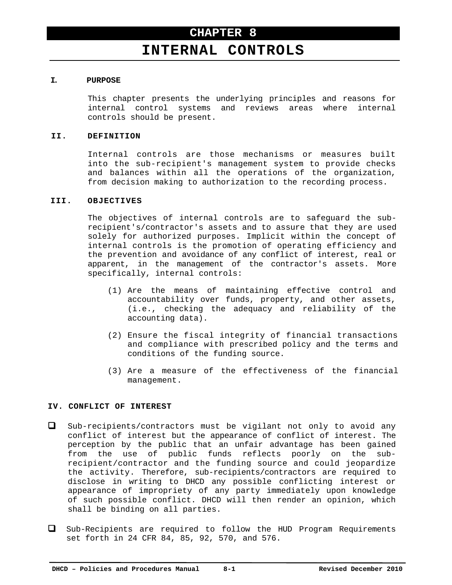# **INTERNAL CONTROLS**

## **I. PURPOSE**

This chapter presents the underlying principles and reasons for internal control systems and reviews areas where internal controls should be present.

### **II. DEFINITION**

Internal controls are those mechanisms or measures built into the sub-recipient's management system to provide checks and balances within all the operations of the organization, from decision making to authorization to the recording process.

## **III. OBJECTIVES**

The objectives of internal controls are to safeguard the subrecipient's/contractor's assets and to assure that they are used solely for authorized purposes. Implicit within the concept of internal controls is the promotion of operating efficiency and the prevention and avoidance of any conflict of interest, real or apparent, in the management of the contractor's assets. More specifically, internal controls:

- (1) Are the means of maintaining effective control and accountability over funds, property, and other assets, (i.e., checking the adequacy and reliability of the accounting data).
- (2) Ensure the fiscal integrity of financial transactions and compliance with prescribed policy and the terms and conditions of the funding source.
- (3) Are a measure of the effectiveness of the financial management.

# **IV. CONFLICT OF INTEREST**

- Sub-recipients/contractors must be vigilant not only to avoid any conflict of interest but the appearance of conflict of interest. The perception by the public that an unfair advantage has been gained from the use of public funds reflects poorly on the subrecipient/contractor and the funding source and could jeopardize the activity. Therefore, sub-recipients/contractors are required to disclose in writing to DHCD any possible conflicting interest or appearance of impropriety of any party immediately upon knowledge of such possible conflict. DHCD will then render an opinion, which shall be binding on all parties.
- Sub-Recipients are required to follow the HUD Program Requirements set forth in 24 CFR 84, 85, 92, 570, and 576.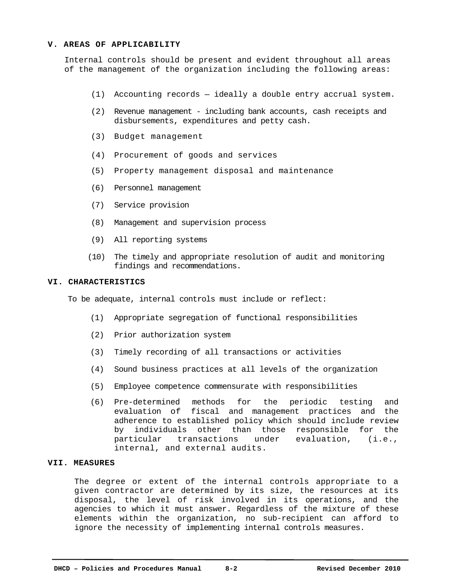## **V. AREAS OF APPLICABILITY**

Internal controls should be present and evident throughout all areas of the management of the organization including the following areas:

- (1) Accounting records ideally a double entry accrual system.
- (2) Revenue management including bank accounts, cash receipts and disbursements, expenditures and petty cash.
- (3) Budget management
- (4) Procurement of goods and services
- (5) Property management disposal and maintenance
- (6) Personnel management
- (7) Service provision
- (8) Management and supervision process
- (9) All reporting systems
- (10) The timely and appropriate resolution of audit and monitoring findings and recommendations.

#### **VI. CHARACTERISTICS**

To be adequate, internal controls must include or reflect:

- (1) Appropriate segregation of functional responsibilities
- (2) Prior authorization system
- (3) Timely recording of all transactions or activities
- (4) Sound business practices at all levels of the organization
- (5) Employee competence commensurate with responsibilities
- (6) Pre-determined methods for the periodic testing and evaluation of fiscal and management practices and the adherence to established policy which should include review by individuals other than those responsible for the particular transactions under evaluation, (i.e., internal, and external audits.

# **VII. MEASURES**

The degree or extent of the internal controls appropriate to a given contractor are determined by its size, the resources at its disposal, the level of risk involved in its operations, and the agencies to which it must answer. Regardless of the mixture of these elements within the organization, no sub-recipient can afford to ignore the necessity of implementing internal controls measures.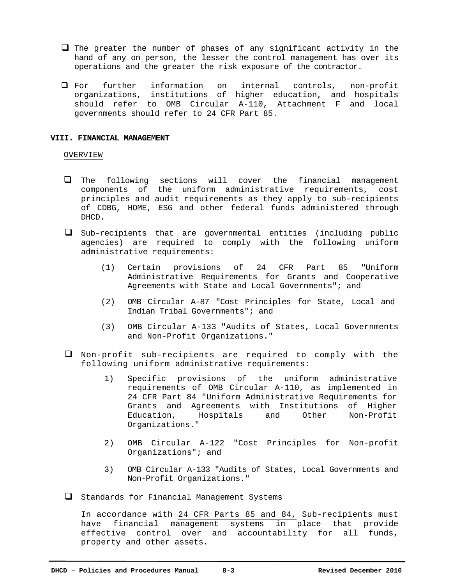- $\Box$  The greater the number of phases of any significant activity in the hand of any on person, the lesser the control management has over its operations and the greater the risk exposure of the contractor.
- For further information on internal controls, non-profit organizations, institutions of higher education, and hospitals should refer to OMB Circular A-110, Attachment F and local governments should refer to 24 CFR Part 85.

#### **VIII. FINANCIAL MANAGEMENT**

#### OVERVIEW

- $\Box$  The following sections will cover the financial management components of the uniform administrative requirements, cost principles and audit requirements as they apply to sub-recipients of CDBG, HOME, ESG and other federal funds administered through DHCD.
- Sub-recipients that are governmental entities (including public agencies) are required to comply with the following uniform administrative requirements:
	- (1) Certain provisions of 24 CFR Part 85 "Uniform Administrative Requirements for Grants and Cooperative Agreements with State and Local Governments"; and
	- (2) OMB Circular A-87 "Cost Principles for State, Local and Indian Tribal Governments"; and
	- (3) OMB Circular A-133 "Audits of States, Local Governments and Non-Profit Organizations."
- Non-profit sub-recipients are required to comply with the following uniform administrative requirements:
	- 1) Specific provisions of the uniform administrative requirements of OMB Circular A-110, as implemented in 24 CFR Part 84 "Uniform Administrative Requirements for Grants and Agreements with Institutions of Higher Education, Hospitals and Other Non-Profit Organizations."
	- 2) OMB Circular A-122 "Cost Principles for Non-profit Organizations"; and
	- 3) OMB Circular A-133 "Audits of States, Local Governments and Non-Profit Organizations."

 $\Box$  Standards for Financial Management Systems

In accordance with 24 CFR Parts 85 and 84, Sub-recipients must have financial management systems in place that provide effective control over and accountability for all funds, property and other assets.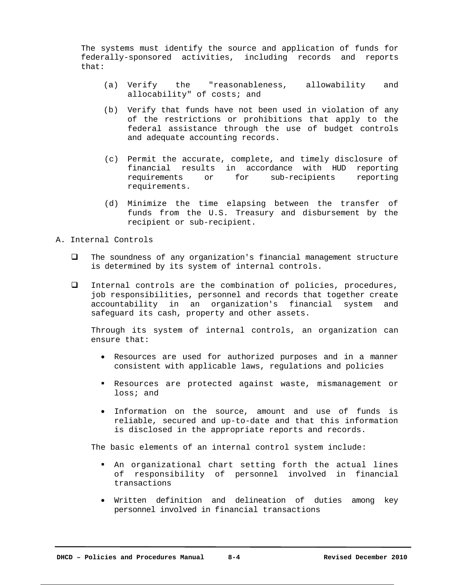The systems must identify the source and application of funds for federally-sponsored activities, including records and reports that:

- (a) Verify the "reasonableness, allowability and allocability" of costs; and
- (b) Verify that funds have not been used in violation of any of the restrictions or prohibitions that apply to the federal assistance through the use of budget controls and adequate accounting records.
- (c) Permit the accurate, complete, and timely disclosure of financial results in accordance with HUD reporting requirements or for sub-recipients reporting requirements.
- (d) Minimize the time elapsing between the transfer of funds from the U.S. Treasury and disbursement by the recipient or sub-recipient.

# A. Internal Controls

- The soundness of any organization's financial management structure is determined by its system of internal controls.
- Internal controls are the combination of policies, procedures, job responsibilities, personnel and records that together create accountability in an organization's financial system and safeguard its cash, property and other assets.

Through its system of internal controls, an organization can ensure that:

- Resources are used for authorized purposes and in a manner consistent with applicable laws, regulations and policies
- Resources are protected against waste, mismanagement or loss; and
- Information on the source, amount and use of funds is reliable, secured and up-to-date and that this information is disclosed in the appropriate reports and records.

The basic elements of an internal control system include:

- An organizational chart setting forth the actual lines of responsibility of personnel involved in financial transactions
- Written definition and delineation of duties among key personnel involved in financial transactions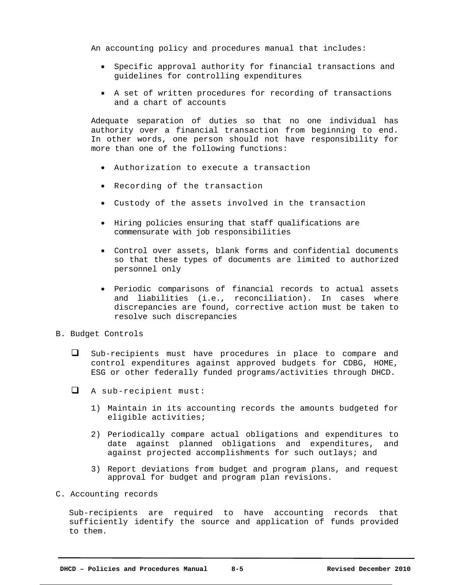An accounting policy and procedures manual that includes:

- Specific approval authority for financial transactions and guidelines for controlling expenditures
- A set of written procedures for recording of transactions and a chart of accounts

Adequate separation of duties so that no one individual has authority over a financial transaction from beginning to end. In other words, one person should not have responsibility for more than one of the following functions:

- Authorization to execute a transaction
- Recording of the transaction
- Custody of the assets involved in the transaction
- Hiring policies ensuring that staff qualifications are commensurate with job responsibilities
- Control over assets, blank forms and confidential documents so that these types of documents are limited to authorized personnel only
- Periodic comparisons of financial records to actual assets and liabilities (i.e., reconciliation). In cases where discrepancies are found, corrective action must be taken to resolve such discrepancies
- B. Budget Controls
	- $\square$  Sub-recipients must have procedures in place to compare and control expenditures against approved budgets for CDBG, HOME, ESG or other federally funded programs/activities through DHCD.
	- A sub-recipient must:
		- 1) Maintain in its accounting records the amounts budgeted for eligible activities;
		- 2) Periodically compare actual obligations and expenditures to date against planned obligations and expenditures, and against projected accomplishments for such outlays; and
		- 3) Report deviations from budget and program plans, and request approval for budget and program plan revisions.
- C. Accounting records

Sub-recipients are required to have accounting records that sufficiently identify the source and application of funds provided to them.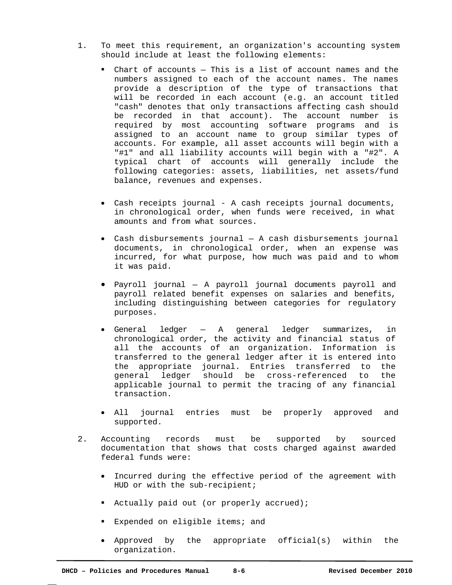- 1. To meet this requirement, an organization's accounting system should include at least the following elements:
	- Chart of accounts This is a list of account names and the numbers assigned to each of the account names. The names provide a description of the type of transactions that will be recorded in each account (e.g. an account titled "cash" denotes that only transactions affecting cash should be recorded in that account). The account number is required by most accounting software programs and is assigned to an account name to group similar types of accounts. For example, all asset accounts will begin with a "#1" and all liability accounts will begin with a "#2". A typical chart of accounts will generally include the following categories: assets, liabilities, net assets/fund balance, revenues and expenses.
	- Cash receipts journal A cash receipts journal documents, in chronological order, when funds were received, in what amounts and from what sources.
	- Cash disbursements journal A cash disbursements journal documents, in chronological order, when an expense was incurred, for what purpose, how much was paid and to whom it was paid.
	- Payroll journal A payroll journal documents payroll and payroll related benefit expenses on salaries and benefits, including distinguishing between categories for regulatory purposes.
	- General ledger A general ledger summarizes, in chronological order, the activity and financial status of all the accounts of an organization. Information is transferred to the general ledger after it is entered into the appropriate journal. Entries transferred to the general ledger should be cross-referenced to the applicable journal to permit the tracing of any financial transaction.
	- All journal entries must be properly approved and supported.
- 2. Accounting records must be supported by sourced documentation that shows that costs charged against awarded federal funds were:
	- Incurred during the effective period of the agreement with HUD or with the sub-recipient;
	- Actually paid out (or properly accrued);
	- **Expended on eligible items; and**
	- Approved by the appropriate official(s) within the organization.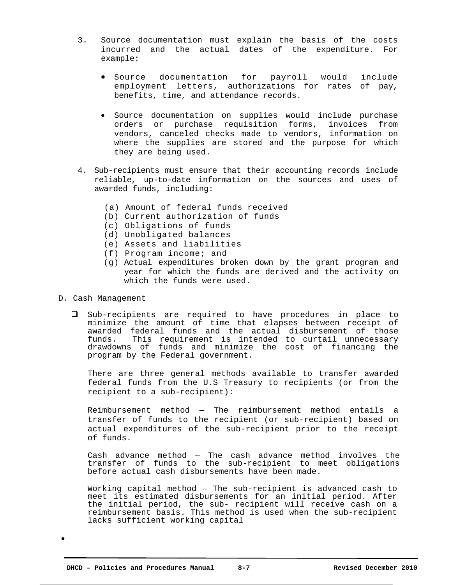- 3. Source documentation must explain the basis of the costs incurred and the actual dates of the expenditure. For example:
	- **•** Source documentation for payroll would include employment letters, authorizations for rates of pay, benefits, time, and attendance records.
	- Source documentation on supplies would include purchase orders or purchase requisition forms, invoices from vendors, canceled checks made to vendors, information on where the supplies are stored and the purpose for which they are being used.
- 4. Sub-recipients must ensure that their accounting records include reliable, up-to-date information on the sources and uses of awarded funds, including:
	- (a) Amount of federal funds received
	- (b) Current authorization of funds
	- (c) Obligations of funds
	- (d) Unobligated balances
	- (e) Assets and liabilities
	- (f) Program income; and
	- (g) Actual expenditures broken down by the grant program and year for which the funds are derived and the activity on which the funds were used.
- D. Cash Management
	- Sub-recipients are required to have procedures in place to minimize the amount of time that elapses between receipt of awarded federal funds and the actual disbursement of those funds. This requirement is intended to curtail unnecessary drawdowns of funds and minimize the cost of financing the program by the Federal government.

There are three general methods available to transfer awarded federal funds from the U.S Treasury to recipients (or from the recipient to a sub-recipient):

Reimbursement method — The reimbursement method entails a transfer of funds to the recipient (or sub-recipient) based on actual expenditures of the sub-recipient prior to the receipt of funds.

Cash advance method — The cash advance method involves the transfer of funds to the sub-recipient to meet obligations before actual cash disbursements have been made.

Working capital method — The sub-recipient is advanced cash to meet its estimated disbursements for an initial period. After the initial period, the sub- recipient will receive cash on a reimbursement basis. This method is used when the sub-recipient lacks sufficient working capital

 $\bullet$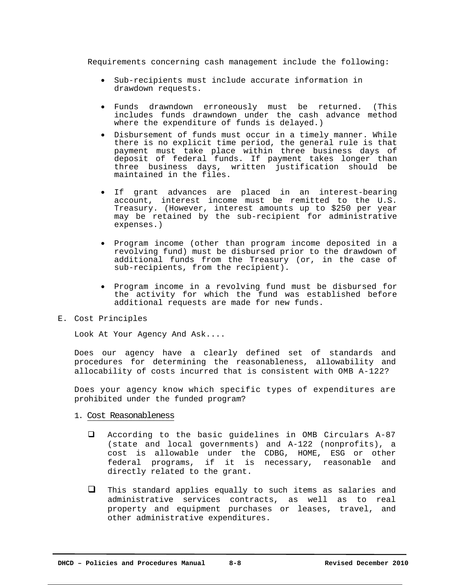Requirements concerning cash management include the following:

- Sub-recipients must include accurate information in drawdown requests.
- Funds drawndown erroneously must be returned. (This includes funds drawndown under the cash advance method where the expenditure of funds is delayed.)
- Disbursement of funds must occur in a timely manner. While there is no explicit time period, the general rule is that payment must take place within three business days of deposit of federal funds. If payment takes longer than three business days, written justification should be maintained in the files.
- If grant advances are placed in an interest-bearing account, interest income must be remitted to the U.S. Treasury. (However, interest amounts up to \$250 per year may be retained by the sub-recipient for administrative expenses.)
- Program income (other than program income deposited in a revolving fund) must be disbursed prior to the drawdown of additional funds from the Treasury (or, in the case of sub-recipients, from the recipient).
- Program income in a revolving fund must be disbursed for the activity for which the fund was established before additional requests are made for new funds.
- E. Cost Principles

Look At Your Agency And Ask....

Does our agency have a clearly defined set of standards and procedures for determining the reasonableness, allowability and allocability of costs incurred that is consistent with OMB A-122?

Does your agency know which specific types of expenditures are prohibited under the funded program?

- 1. Cost Reasonableness
	- According to the basic guidelines in OMB Circulars A-87 (state and local governments) and A-122 (nonprofits), a cost is allowable under the CDBG, HOME, ESG or other federal programs, if it is necessary, reasonable and directly related to the grant.
	- $\Box$  This standard applies equally to such items as salaries and administrative services contracts, as well as to real property and equipment purchases or leases, travel, and other administrative expenditures.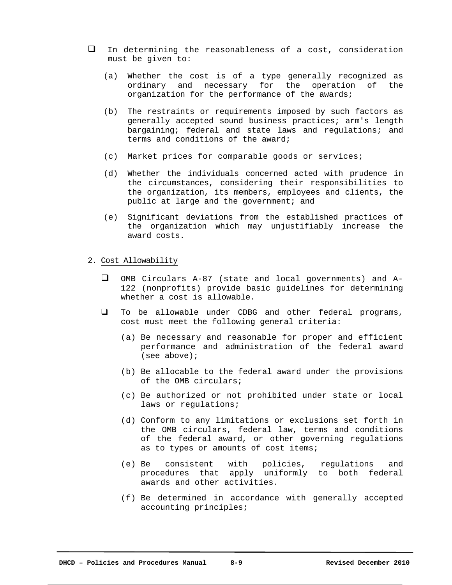- $\Box$  In determining the reasonableness of a cost, consideration must be given to:
	- (a) Whether the cost is of a type generally recognized as ordinary and necessary for the operation of the organization for the performance of the awards;
	- (b) The restraints or requirements imposed by such factors as generally accepted sound business practices; arm's length bargaining; federal and state laws and regulations; and terms and conditions of the award;
	- (c) Market prices for comparable goods or services;
	- (d) Whether the individuals concerned acted with prudence in the circumstances, considering their responsibilities to the organization, its members, employees and clients, the public at large and the government; and
	- (e) Significant deviations from the established practices of the organization which may unjustifiably increase the award costs.
- 2. Cost Allowability
	- OMB Circulars A-87 (state and local governments) and A-122 (nonprofits) provide basic guidelines for determining whether a cost is allowable.
	- To be allowable under CDBG and other federal programs, cost must meet the following general criteria:
		- (a) Be necessary and reasonable for proper and efficient performance and administration of the federal award (see above);
		- (b) Be allocable to the federal award under the provisions of the OMB circulars;
		- (c) Be authorized or not prohibited under state or local laws or regulations;
		- (d) Conform to any limitations or exclusions set forth in the OMB circulars, federal law, terms and conditions of the federal award, or other governing regulations as to types or amounts of cost items;
		- (e) Be consistent with policies, regulations and procedures that apply uniformly to both federal awards and other activities.
		- (f) Be determined in accordance with generally accepted accounting principles;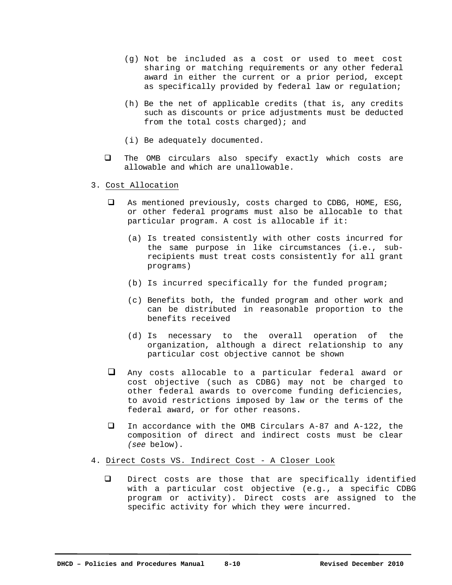- (g) Not be included as a cost or used to meet cost sharing or matching requirements or any other federal award in either the current or a prior period, except as specifically provided by federal law or regulation;
- (h) Be the net of applicable credits (that is, any credits such as discounts or price adjustments must be deducted from the total costs charged); and
- (i) Be adequately documented.
- The OMB circulars also specify exactly which costs are allowable and which are unallowable.
- 3. Cost Allocation
	- As mentioned previously, costs charged to CDBG, HOME, ESG, or other federal programs must also be allocable to that particular program. A cost is allocable if it:
		- (a) Is treated consistently with other costs incurred for the same purpose in like circumstances (i.e., subrecipients must treat costs consistently for all grant programs)
		- (b) Is incurred specifically for the funded program;
		- (c) Benefits both, the funded program and other work and can be distributed in reasonable proportion to the benefits received
		- (d) Is necessary to the overall operation of the organization, although a direct relationship to any particular cost objective cannot be shown
	- Any costs allocable to a particular federal award or cost objective (such as CDBG) may not be charged to other federal awards to overcome funding deficiencies, to avoid restrictions imposed by law or the terms of the federal award, or for other reasons.
	- In accordance with the OMB Circulars A-87 and A-122, the composition of direct and indirect costs must be clear *(see* below).
- 4. Direct Costs VS. Indirect Cost A Closer Look
	- Direct costs are those that are specifically identified with a particular cost objective (e.g., a specific CDBG program or activity). Direct costs are assigned to the specific activity for which they were incurred.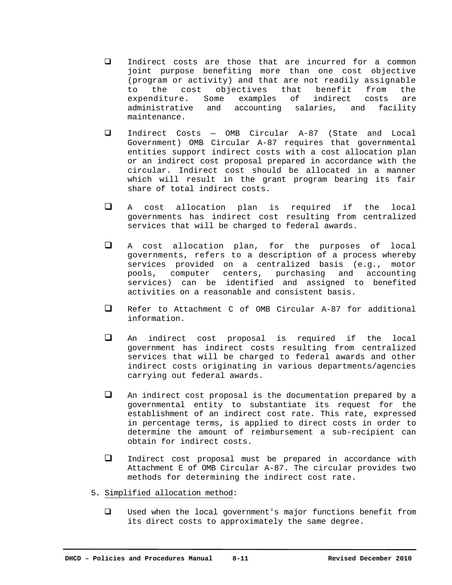- Indirect costs are those that are incurred for a common joint purpose benefiting more than one cost objective (program or activity) and that are not readily assignable to the cost objectives that benefit from the expenditure. Some examples of indirect costs are administrative and accounting salaries, and facility maintenance.
- Indirect Costs OMB Circular A-87 (State and Local Government) OMB Circular A-87 requires that governmental entities support indirect costs with a cost allocation plan or an indirect cost proposal prepared in accordance with the circular. Indirect cost should be allocated in a manner which will result in the grant program bearing its fair share of total indirect costs.
- A cost allocation plan is required if the local governments has indirect cost resulting from centralized services that will be charged to federal awards.
- A cost allocation plan, for the purposes of local governments, refers to a description of a process whereby services provided on a centralized basis (e.g., motor pools, computer centers, purchasing and accounting services) can be identified and assigned to benefited activities on a reasonable and consistent basis.
- Refer to Attachment C of OMB Circular A-87 for additional information.
- An indirect cost proposal is required if the local government has indirect costs resulting from centralized services that will be charged to federal awards and other indirect costs originating in various departments/agencies carrying out federal awards.
- $\Box$  An indirect cost proposal is the documentation prepared by a governmental entity to substantiate its request for the establishment of an indirect cost rate. This rate, expressed in percentage terms, is applied to direct costs in order to determine the amount of reimbursement a sub-recipient can obtain for indirect costs.
- Indirect cost proposal must be prepared in accordance with Attachment E of OMB Circular A-87. The circular provides two methods for determining the indirect cost rate.
- 5. Simplified allocation method:
	- Used when the local government's major functions benefit from its direct costs to approximately the same degree.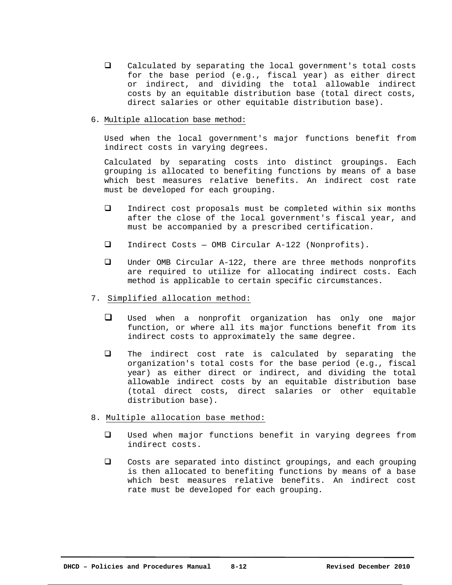- Calculated by separating the local government's total costs for the base period (e.g., fiscal year) as either direct or indirect, and dividing the total allowable indirect costs by an equitable distribution base (total direct costs, direct salaries or other equitable distribution base).
- 6. Multiple allocation base method:

Used when the local government's major functions benefit from indirect costs in varying degrees.

Calculated by separating costs into distinct groupings. Each grouping is allocated to benefiting functions by means of a base which best measures relative benefits. An indirect cost rate must be developed for each grouping.

- Indirect cost proposals must be completed within six months after the close of the local government's fiscal year, and must be accompanied by a prescribed certification.
- Indirect Costs OMB Circular A-122 (Nonprofits).
- Under OMB Circular A-122, there are three methods nonprofits are required to utilize for allocating indirect costs. Each method is applicable to certain specific circumstances.
- 7. Simplified allocation method:
	- Used when a nonprofit organization has only one major function, or where all its major functions benefit from its indirect costs to approximately the same degree.
	- $\Box$  The indirect cost rate is calculated by separating the organization's total costs for the base period (e.g., fiscal year) as either direct or indirect, and dividing the total allowable indirect costs by an equitable distribution base (total direct costs, direct salaries or other equitable distribution base).
- 8. Multiple allocation base method:
	- Used when major functions benefit in varying degrees from indirect costs.
	- Costs are separated into distinct groupings, and each grouping is then allocated to benefiting functions by means of a base which best measures relative benefits. An indirect cost rate must be developed for each grouping.